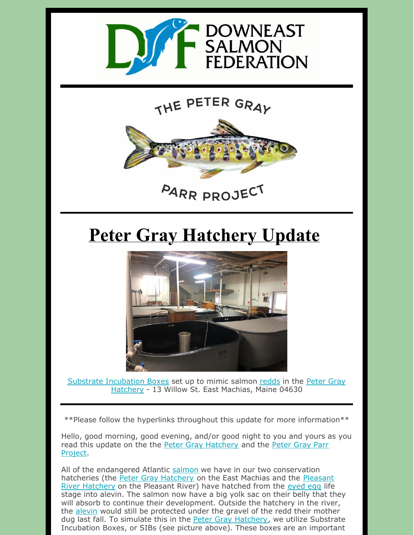

## THE PETER GRAY



## **Peter Gray Hatchery Update**



Substrate [In](https://mainesalmonrivers.org/parr-project/peter-gray-parr-project/)[cubation](https://mainesalmonrivers.org/parr-project/the-peter-gray-hatchery/) Boxes set up to mimic salmon [redds](https://mainesalmonrivers.org/parr-project/redd-counting/) in the Peter Gray Hatchery - 13 Willow St. East Machias, Maine 04630

\*\*Please follow the hyperlinks throughout this update for more information\*\*

Hello, good morning, good evening, and/or good night to you and yours as you read this update on the the Peter Gray [Hatchery](https://mainesalmonrivers.org/parr-project/peter-gray-parr-project/) and the Peter Gray Parr Project.

All of the endangered Atlantic [salmon](https://mainesalmonrivers.org/parr-project/atlantic-salmon-overview/) we have in our two conservation [hatcheries](https://mainesalmonrivers.org/habitat-restoration/pleasant-river-hatchery/) (the Peter Gray [Hatchery](https://mainesalmonrivers.org/parr-project/peter-gray-parr-project/) on the East Machias and the Pleasant River Hatchery on the Pleasant River) have hatched from the [eyed](https://mainesalmonrivers.org/parr-project/atlantic-salmon-overview/) egg life stage into alevin. The salmon now have a big yolk sac on their belly that they will absorb to continue their development. Outside the hatchery in the river, the [alevin](https://mainesalmonrivers.org/parr-project/atlantic-salmon-overview/) would still be protected under the gravel of the redd their mother dug last fall. To simulate this in the **Peter Gray [Hatchery](https://mainesalmonrivers.org/parr-project/peter-gray-parr-project/)**, we utilize Substrate Incubation Boxes, or SIBs (see picture above). These boxes are an important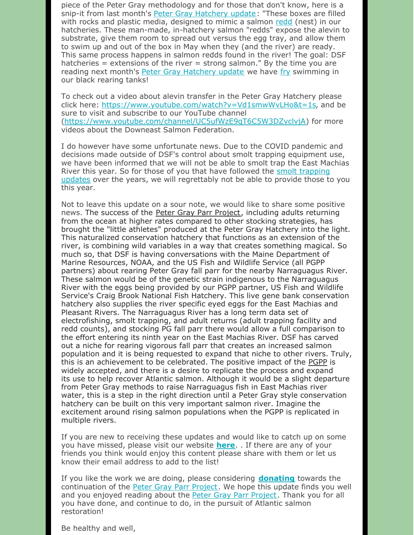piece of the Peter Gray methodology and for those that don't know, here is a snip-it from last month's Peter Gray [Hatchery](https://mainesalmonrivers.org/parr-project/peter-gray-hatchery-report/) update: "These boxes are filled with rocks and plastic media, designed to mimic a salmon [redd](https://mainesalmonrivers.org/parr-project/redd-counting/) (nest) in our hatcheries. These man-made, in-hatchery salmon "redds" expose the alevin to substrate, give them room to spread out versus the egg tray, and allow them to swim up and out of the box in May when they (and the river) are ready. This same process happens in salmon redds found in the river! The goal: DSF hatcheries = extensions of the river = strong salmon." By the time you are reading next month's Peter Gray [Hatchery](https://mainesalmonrivers.org/parr-project/peter-gray-hatchery-report/) update we have [fry](https://mainesalmonrivers.org/parr-project/atlantic-salmon-overview/) swimming in our black rearing tanks!

To check out a video about alevin transfer in the Peter Gray Hatchery please click here: <https://www.youtube.com/watch?v=Vd1smwWvLHo&t=1s>, and be sure to visit and subscribe to our YouTube channel [\(https://www.youtube.com/channel/UC5ufWzE9qT6C5W3DZvclvjA](https://www.youtube.com/channel/UC5ufWzE9qT6C5W3DZvclvjA)) for more videos about the Downeast Salmon Federation.

I do however have some unfortunate news. Due to the COVID pandemic and decisions made outside of DSF's control about smolt trapping equipment use, we have been informed that we will not be able to smolt trap the East Machias River this year. So for those of you that have followed the smolt trapping updates over the years, we will [regrettably](https://mainesalmonrivers.org/parr-project/smolt-trapping/) not be able to provide those to you this year.

Not to leave this update on a sour note, we would like to share some positive news. The success of the Peter Gray Parr [Project](https://mainesalmonrivers.org/parr-project/peter-gray-parr-project/), including adults returning from the ocean at higher rates compared to other stocking strategies, has brought the "little athletes" produced at the Peter Gray Hatchery into the light. This naturalized conservation hatchery that functions as an extension of the river, is combining wild variables in a way that creates something magical. So much so, that DSF is having conversations with the Maine Department of Marine Resources, NOAA, and the US Fish and Wildlife Service (all PGPP partners) about rearing Peter Gray fall parr for the nearby Narraguagus River. These salmon would be of the genetic strain indigenous to the Narraguagus River with the eggs being provided by our PGPP partner, US Fish and Wildlife Service's Craig Brook National Fish Hatchery. This live gene bank conservation hatchery also supplies the river specific eyed eggs for the East Machias and Pleasant Rivers. The Narraguagus River has a long term data set of electrofishing, smolt trapping, and adult returns (adult trapping facility and redd counts), and stocking PG fall parr there would allow a full comparison to the effort entering its ninth year on the East Machias River. DSF has carved out a niche for rearing vigorous fall parr that creates an increased salmon population and it is being requested to expand that niche to other rivers. Truly, this is an achievement to be celebrated. The positive impact of the [PGPP](https://mainesalmonrivers.org/parr-project/peter-gray-parr-project/) is widely accepted, and there is a desire to replicate the process and expand its use to help recover Atlantic salmon. Although it would be a slight departure from Peter Gray methods to raise Narraguagus fish in East Machias river water, this is a step in the right direction until a Peter Gray style conservation hatchery can be built on this very important salmon river. Imagine the excitement around rising salmon populations when the PGPP is replicated in multiple rivers.

If you are new to receiving these updates and would like to catch up on some you have missed, please visit our website **[here](https://mainesalmonrivers.org/parr-project/peter-gray-hatchery-report/)**. . If there are any of your friends you think would enjoy this content please share with them or let us know their email address to add to the list!

If you like the work we are doing, please considering **[donating](https://mainesalmonrivers.org/parr-project/donate-to-the-peter-gray-parr-project/)** towards the continuation of the Peter Gray Parr [Project](https://mainesalmonrivers.org/parr-project/donate-to-the-peter-gray-parr-project/). We hope this update finds you well and you enjoyed reading about the Peter Gray Parr [Project](https://mainesalmonrivers.org/parr-project/peter-gray-parr-project/). Thank you for all you have done, and continue to do, in the pursuit of Atlantic salmon restoration!

Be healthy and well,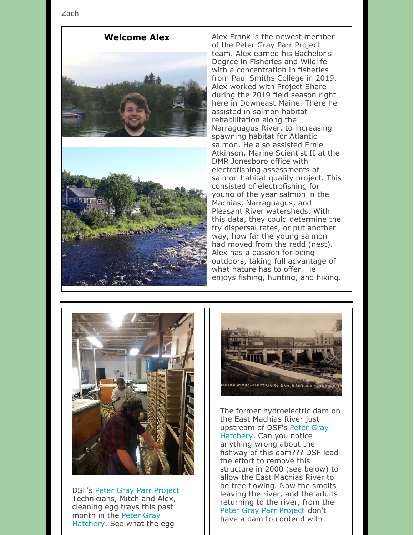Zach





**Welcome Alex** Alex Frank is the newest member of the Peter Gray Parr Project team. Alex earned his Bachelor's Degree in Fisheries and Wildlife with a concentration in fisheries from Paul Smiths College in 2019. Alex worked with Project Share during the 2019 field season right here in Downeast Maine. There he assisted in salmon habitat rehabilitation along the Narraguagus River, to increasing spawning habitat for Atlantic salmon. He also assisted Ernie Atkinson, Marine Scientist II at the DMR Jonesboro office with electrofishing assessments of salmon habitat quality project. This consisted of electrofishing for young of the year salmon in the Machias, Narraguagus, and Pleasant River watersheds. With this data, they could determine the fry dispersal rates, or put another way, how far the young salmon had moved from the redd (nest). Alex has a passion for being outdoors, taking full advantage of what nature has to offer. He enjoys fishing, hunting, and hiking.



DSF's Peter Gray Parr [Project](https://mainesalmonrivers.org/parr-project/peter-gray-parr-project/) Technicians, Mitch and Alex, cleaning egg trays this past month in the Peter Gray [Hatchery.](https://mainesalmonrivers.org/parr-project/the-peter-gray-hatchery/) See what the egg



The former hydroelectric dam on the East Machias River just upstream of DSF's Peter Gray [Hatchery.](https://mainesalmonrivers.org/parr-project/peter-gray-parr-project/) Can you notice anything wrong about the fishway of this dam??? DSF lead the effort to remove this structure in 2000 (see below) to allow the East Machias River to be free flowing. Now the smolts leaving the river, and the adults returning to the river, from the Peter Gray Parr [Project](https://mainesalmonrivers.org/parr-project/peter-gray-parr-project/) don't have a dam to contend with!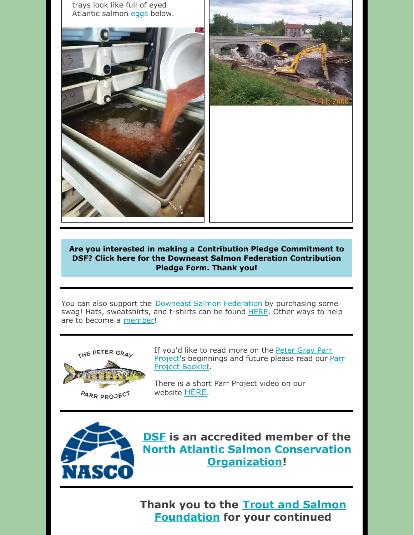



**Are you interested in making a Contribution Pledge [Commitment](https://files.constantcontact.com/6c7a16d6501/5fc13ada-9396-4b48-81a1-cd7f30f9ee0c.docx) to DSF? Click here for the Downeast Salmon Federation Contribution Pledge Form. Thank you!**

You can also support the Downeast Salmon [Federation](http://www.mainesalmonrivers.org) by purchasing some swag! Hats, sweatshirts, and t-shirts can be found **[HERE](https://mainesalmonrivers.org/shop/)**. Other ways to help are to become a [member](https://mainesalmonrivers.org/donate/)!



**PARR PROJECT** 

If you'd like to read more on the Peter Gray Parr Project's [beginnings](https://mainesalmonrivers.org/parr-project/peter-gray-parr-project/) and future please read our Parr Project Booklet.

There is a short Parr Project video on our website **[HERE](https://mainesalmonrivers.org/parr-project/peter-gray-parr-project/)**.



**[DSF](http://mainesalmonrivers.org) is an accredited member of the North Atlantic Salmon Conservation [Organization!](http://www.nasco.int/)**

**Thank you to the Trout and Salmon [Foundation](https://www.troutandsalmonfoundation.org/) for your continued**